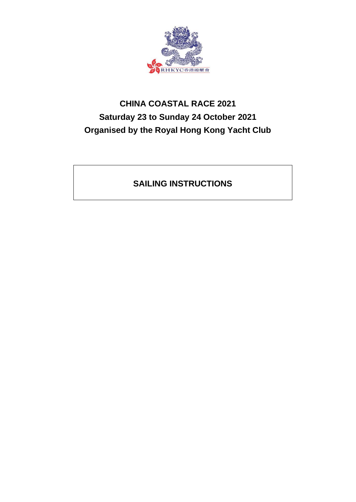

# **CHINA COASTAL RACE 2021 Saturday 23 to Sunday 24 October 2021 Organised by the Royal Hong Kong Yacht Club**

## **SAILING INSTRUCTIONS**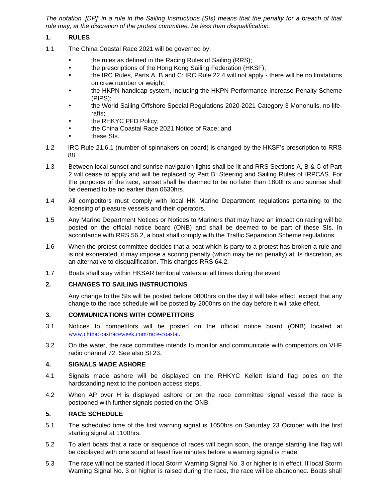*The notation '[DP]' in a rule in the Sailing Instructions (SIs) means that the penalty for a breach of that rule may, at the discretion of the protest committee, be less than disqualification.*

#### **1. RULES**

- 1.1 The China Coastal Race 2021 will be governed by:
	- the rules as defined in the Racing Rules of Sailing (RRS);
	- the prescriptions of the Hong Kong Sailing Federation (HKSF);
	- the IRC Rules, Parts A, B and C: IRC Rule 22.4 will not apply there will be no limitations on crew number or weight;
	- the HKPN handicap system, including the HKPN Performance Increase Penalty Scheme (PIPS);
	- the World Sailing Offshore Special Regulations 2020-2021 Category 3 Monohulls, no liferafts;
	- the RHKYC PFD Policy;
	- the China Coastal Race 2021 Notice of Race; and
	- these SIs.
- 1.2 IRC Rule 21.6.1 (number of spinnakers on board) is changed by the HKSF's prescription to RRS 88.
- 1.3 Between local sunset and sunrise navigation lights shall be lit and RRS Sections A, B & C of Part 2 will cease to apply and will be replaced by Part B: Steering and Sailing Rules of IRPCAS. For the purposes of the race, sunset shall be deemed to be no later than 1800hrs and sunrise shall be deemed to be no earlier than 0630hrs.
- 1.4 All competitors must comply with local HK Marine Department regulations pertaining to the licensing of pleasure vessels and their operators.
- 1.5 Any Marine Department Notices or Notices to Mariners that may have an impact on racing will be posted on the official notice board (ONB) and shall be deemed to be part of these SIs. In accordance with RRS 56.2, a boat shall comply with the Traffic Separation Scheme regulations.
- 1.6 When the protest committee decides that a boat which is party to a protest has broken a rule and is not exonerated, it may impose a scoring penalty (which may be no penalty) at its discretion, as an alternative to disqualification. This changes RRS 64.2.
- 1.7 Boats shall stay within HKSAR territorial waters at all times during the event.

#### **2. CHANGES TO SAILING INSTRUCTIONS**

Any change to the SIs will be posted before 0800hrs on the day it will take effect, except that any change to the race schedule will be posted by 2000hrs on the day before it will take effect.

#### **3. COMMUNICATIONS WITH COMPETITORS**

- 3.1 Notices to competitors will be posted on the official notice board (ONB) located at [www.chinacoastraceweek.com/race-coastal.](https://www.chinacoastraceweek.com/race-coastal)
- 3.2 On the water, the race committee intends to monitor and communicate with competitors on VHF radio channel 72. See also SI 23.

#### **4. SIGNALS MADE ASHORE**

- 4.1 Signals made ashore will be displayed on the RHKYC Kellett Island flag poles on the hardstanding next to the pontoon access steps.
- 4.2 When AP over H is displayed ashore or on the race committee signal vessel the race is postponed with further signals posted on the ONB.

#### **5. RACE SCHEDULE**

- 5.1 The scheduled time of the first warning signal is 1050hrs on Saturday 23 October with the first starting signal at 1100hrs.
- 5.2 To alert boats that a race or sequence of races will begin soon, the orange starting line flag will be displayed with one sound at least five minutes before a warning signal is made.
- 5.3 The race will not be started if local Storm Warning Signal No. 3 or higher is in effect. If local Storm Warning Signal No. 3 or higher is raised during the race, the race will be abandoned. Boats shall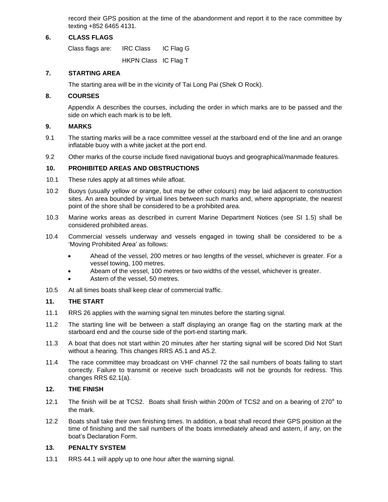record their GPS position at the time of the abandonment and report it to the race committee by texting +852 6465 4131.

#### **6. CLASS FLAGS**

Class flags are: IRC Class IC Flag G

HKPN Class IC Flag T

#### **7. STARTING AREA**

The starting area will be in the vicinity of Tai Long Pai (Shek O Rock).

#### **8. COURSES**

Appendix A describes the courses, including the order in which marks are to be passed and the side on which each mark is to be left.

#### **9. MARKS**

- 9.1 The starting marks will be a race committee vessel at the starboard end of the line and an orange inflatable buoy with a white jacket at the port end.
- 9.2 Other marks of the course include fixed navigational buoys and geographical/manmade features.

### **10. PROHIBITED AREAS AND OBSTRUCTIONS**

- 10.1 These rules apply at all times while afloat.
- 10.2 Buoys (usually yellow or orange, but may be other colours) may be laid adjacent to construction sites. An area bounded by virtual lines between such marks and, where appropriate, the nearest point of the shore shall be considered to be a prohibited area.
- 10.3 Marine works areas as described in current Marine Department Notices (see SI 1.5) shall be considered prohibited areas.
- 10.4 Commercial vessels underway and vessels engaged in towing shall be considered to be a 'Moving Prohibited Area' as follows:
	- Ahead of the vessel, 200 metres or two lengths of the vessel, whichever is greater. For a vessel towing, 100 metres.
	- Abeam of the vessel, 100 metres or two widths of the vessel, whichever is greater.
	- Astern of the vessel, 50 metres.
- 10.5 At all times boats shall keep clear of commercial traffic.

#### **11. THE START**

- 11.1 RRS 26 applies with the warning signal ten minutes before the starting signal.
- 11.2 The starting line will be between a staff displaying an orange flag on the starting mark at the starboard end and the course side of the port-end starting mark.
- 11.3 A boat that does not start within 20 minutes after her starting signal will be scored Did Not Start without a hearing. This changes RRS A5.1 and A5.2.
- 11.4 The race committee may broadcast on VHF channel 72 the sail numbers of boats failing to start correctly. Failure to transmit or receive such broadcasts will not be grounds for redress. This changes RRS 62.1(a).

#### **12. THE FINISH**

- 12.1 The finish will be at TCS2. Boats shall finish within 200m of TCS2 and on a bearing of 270° to the mark.
- 12.2 Boats shall take their own finishing times. In addition, a boat shall record their GPS position at the time of finishing and the sail numbers of the boats immediately ahead and astern, if any, on the boat's Declaration Form.

#### **13. PENALTY SYSTEM**

13.1 RRS 44.1 will apply up to one hour after the warning signal.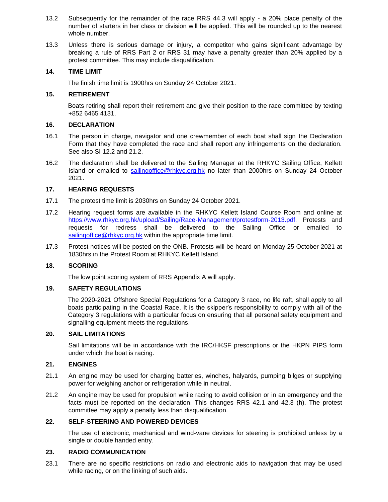- 13.2 Subsequently for the remainder of the race RRS 44.3 will apply a 20% place penalty of the number of starters in her class or division will be applied. This will be rounded up to the nearest whole number.
- 13.3 Unless there is serious damage or injury, a competitor who gains significant advantage by breaking a rule of RRS Part 2 or RRS 31 may have a penalty greater than 20% applied by a protest committee. This may include disqualification.

#### **14. TIME LIMIT**

The finish time limit is 1900hrs on Sunday 24 October 2021.

#### **15. RETIREMENT**

Boats retiring shall report their retirement and give their position to the race committee by texting +852 6465 4131.

#### **16. DECLARATION**

- 16.1 The person in charge, navigator and one crewmember of each boat shall sign the Declaration Form that they have completed the race and shall report any infringements on the declaration. See also SI 12.2 and 21.2.
- 16.2 The declaration shall be delivered to the Sailing Manager at the RHKYC Sailing Office, Kellett Island or emailed to [sailingoffice@rhkyc.org.hk](mailto:sailingoffice@rhkyc.org.hk) no later than 2000hrs on Sunday 24 October 2021.

#### **17. HEARING REQUESTS**

- 17.1 The protest time limit is 2030hrs on Sunday 24 October 2021.
- 17.2 Hearing request forms are available in the RHKYC Kellett Island Course Room and online at [https://www.rhkyc.org.hk/upload/Sailing/Race-Management/protestform-2013.pdf.](https://www.rhkyc.org.hk/upload/Sailing/Race-Management/protestform-2013.pdf) Protests and requests for redress shall be delivered to the Sailing Office or emailed to sailing office @ rhkyc.org.hk within the appropriate time limit.
- 17.3 Protest notices will be posted on the ONB. Protests will be heard on Monday 25 October 2021 at 1830hrs in the Protest Room at RHKYC Kellett Island.

#### **18. SCORING**

The low point scoring system of RRS Appendix A will apply.

#### **19. SAFETY REGULATIONS**

The 2020-2021 Offshore Special Regulations for a Category 3 race, no life raft, shall apply to all boats participating in the Coastal Race. It is the skipper's responsibility to comply with all of the Category 3 regulations with a particular focus on ensuring that all personal safety equipment and signalling equipment meets the regulations.

#### **20. SAIL LIMITATIONS**

Sail limitations will be in accordance with the IRC/HKSF prescriptions or the HKPN PIPS form under which the boat is racing.

#### **21. ENGINES**

- 21.1 An engine may be used for charging batteries, winches, halyards, pumping bilges or supplying power for weighing anchor or refrigeration while in neutral.
- 21.2 An engine may be used for propulsion while racing to avoid collision or in an emergency and the facts must be reported on the declaration. This changes RRS 42.1 and 42.3 (h). The protest committee may apply a penalty less than disqualification.

#### **22. SELF-STEERING AND POWERED DEVICES**

The use of electronic, mechanical and wind-vane devices for steering is prohibited unless by a single or double handed entry.

#### **23. RADIO COMMUNICATION**

23.1 There are no specific restrictions on radio and electronic aids to navigation that may be used while racing, or on the linking of such aids.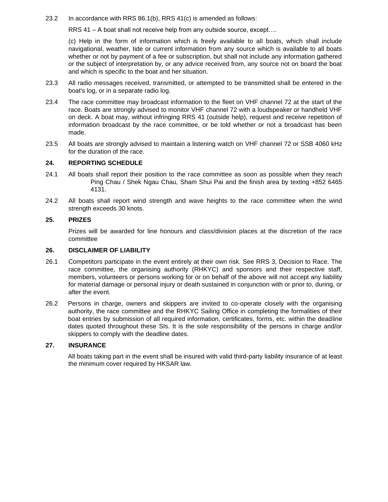23.2 In accordance with RRS 86.1(b), RRS 41(c) is amended as follows:

RRS 41 – A boat shall not receive help from any outside source, except….

(c) Help in the form of information which is freely available to all boats, which shall include navigational, weather, tide or current information from any source which is available to all boats whether or not by payment of a fee or subscription, but shall not include any information gathered or the subject of interpretation by, or any advice received from, any source not on board the boat and which is specific to the boat and her situation.

- 23.3 All radio messages received, transmitted, or attempted to be transmitted shall be entered in the boat's log, or in a separate radio log.
- 23.4 The race committee may broadcast information to the fleet on VHF channel 72 at the start of the race. Boats are strongly advised to monitor VHF channel 72 with a loudspeaker or handheld VHF on deck. A boat may, without infringing RRS 41 (outside help), request and receive repetition of information broadcast by the race committee, or be told whether or not a broadcast has been made.
- 23.5 All boats are strongly advised to maintain a listening watch on VHF channel 72 or SSB 4060 kHz for the duration of the race.

#### **24. REPORTING SCHEDULE**

- 24.1 All boats shall report their position to the race committee as soon as possible when they reach Ping Chau / Shek Ngau Chau, Sham Shui Pai and the finish area by texting +852 6465 4131.
- 24.2 All boats shall report wind strength and wave heights to the race committee when the wind strength exceeds 30 knots.

#### **25. PRIZES**

Prizes will be awarded for line honours and class/division places at the discretion of the race committee

#### **26. DISCLAIMER OF LIABILITY**

- 26.1 Competitors participate in the event entirely at their own risk. See RRS 3, Decision to Race. The race committee, the organising authority (RHKYC) and sponsors and their respective staff, members, volunteers or persons working for or on behalf of the above will not accept any liability for material damage or personal injury or death sustained in conjunction with or prior to, during, or after the event.
- 26.2 Persons in charge, owners and skippers are invited to co-operate closely with the organising authority, the race committee and the RHKYC Sailing Office in completing the formalities of their boat entries by submission of all required information, certificates, forms, etc. within the deadline dates quoted throughout these SIs. It is the sole responsibility of the persons in charge and/or skippers to comply with the deadline dates.

#### **27. INSURANCE**

All boats taking part in the event shall be insured with valid third-party liability insurance of at least the minimum cover required by HKSAR law.